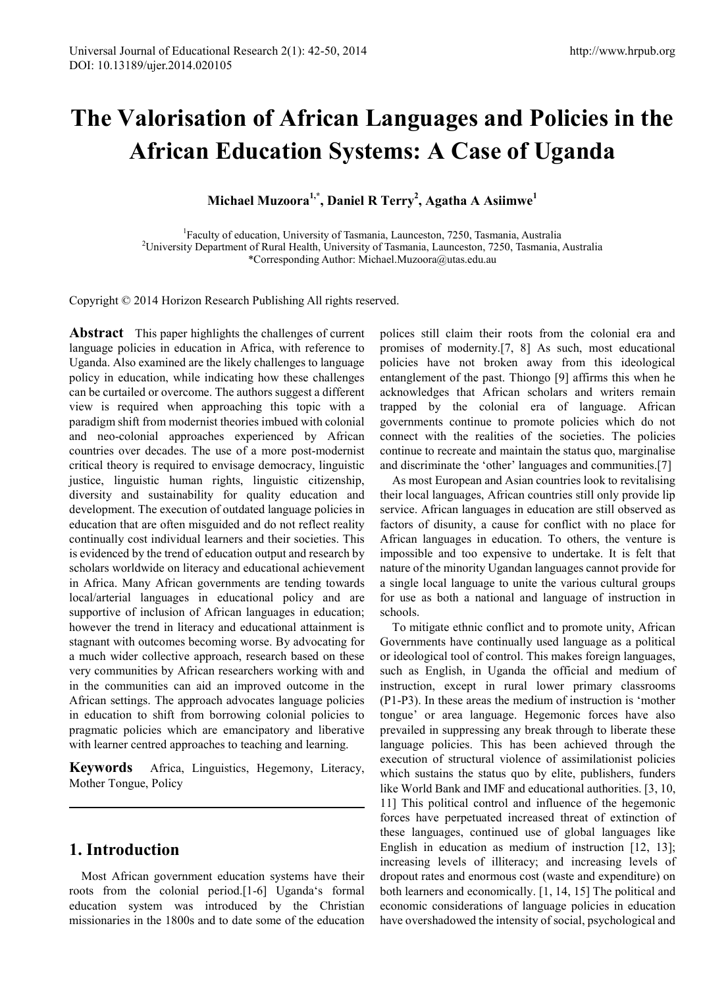# **The Valorisation of African Languages and Policies in the African Education Systems: A Case of Uganda**

**Michael Muzoora1,\*, Daniel R Terry2 , Agatha A Asiimwe<sup>1</sup>**

<sup>1</sup> Faculty of education, University of Tasmania, Launceston, 7250, Tasmania, Australia<sup>2</sup><br><sup>2</sup>University Department of Pural Health University of Tasmania, Launceston, 7250, Tasmania <sup>2</sup>University Department of Rural Health, University of Tasmania, Launceston, 7250, Tasmania, Australia \*Corresponding Author: Michael.Muzoora@utas.edu.au

Copyright © 2014 Horizon Research Publishing All rights reserved.

**Abstract** This paper highlights the challenges of current language policies in education in Africa, with reference to Uganda. Also examined are the likely challenges to language policy in education, while indicating how these challenges can be curtailed or overcome. The authors suggest a different view is required when approaching this topic with a paradigm shift from modernist theories imbued with colonial and neo-colonial approaches experienced by African countries over decades. The use of a more post-modernist critical theory is required to envisage democracy, linguistic justice, linguistic human rights, linguistic citizenship, diversity and sustainability for quality education and development. The execution of outdated language policies in education that are often misguided and do not reflect reality continually cost individual learners and their societies. This is evidenced by the trend of education output and research by scholars worldwide on literacy and educational achievement in Africa. Many African governments are tending towards local/arterial languages in educational policy and are supportive of inclusion of African languages in education; however the trend in literacy and educational attainment is stagnant with outcomes becoming worse. By advocating for a much wider collective approach, research based on these very communities by African researchers working with and in the communities can aid an improved outcome in the African settings. The approach advocates language policies in education to shift from borrowing colonial policies to pragmatic policies which are emancipatory and liberative with learner centred approaches to teaching and learning.

**Keywords** Africa, Linguistics, Hegemony, Literacy, Mother Tongue, Policy

## **1. Introduction**

Most African government education systems have their roots from the colonial period.[1-6] Uganda's formal education system was introduced by the Christian missionaries in the 1800s and to date some of the education

polices still claim their roots from the colonial era and promises of modernity.[7, 8] As such, most educational policies have not broken away from this ideological entanglement of the past. Thiongo [9] affirms this when he acknowledges that African scholars and writers remain trapped by the colonial era of language. African governments continue to promote policies which do not connect with the realities of the societies. The policies continue to recreate and maintain the status quo, marginalise and discriminate the 'other' languages and communities.[7]

As most European and Asian countries look to revitalising their local languages, African countries still only provide lip service. African languages in education are still observed as factors of disunity, a cause for conflict with no place for African languages in education. To others, the venture is impossible and too expensive to undertake. It is felt that nature of the minority Ugandan languages cannot provide for a single local language to unite the various cultural groups for use as both a national and language of instruction in schools.

To mitigate ethnic conflict and to promote unity, African Governments have continually used language as a political or ideological tool of control. This makes foreign languages, such as English, in Uganda the official and medium of instruction, except in rural lower primary classrooms (P1-P3). In these areas the medium of instruction is 'mother tongue' or area language. Hegemonic forces have also prevailed in suppressing any break through to liberate these language policies. This has been achieved through the execution of structural violence of assimilationist policies which sustains the status quo by elite, publishers, funders like World Bank and IMF and educational authorities. [3, 10, 11] This political control and influence of the hegemonic forces have perpetuated increased threat of extinction of these languages, continued use of global languages like English in education as medium of instruction [12, 13]; increasing levels of illiteracy; and increasing levels of dropout rates and enormous cost (waste and expenditure) on both learners and economically. [1, 14, 15] The political and economic considerations of language policies in education have overshadowed the intensity of social, psychological and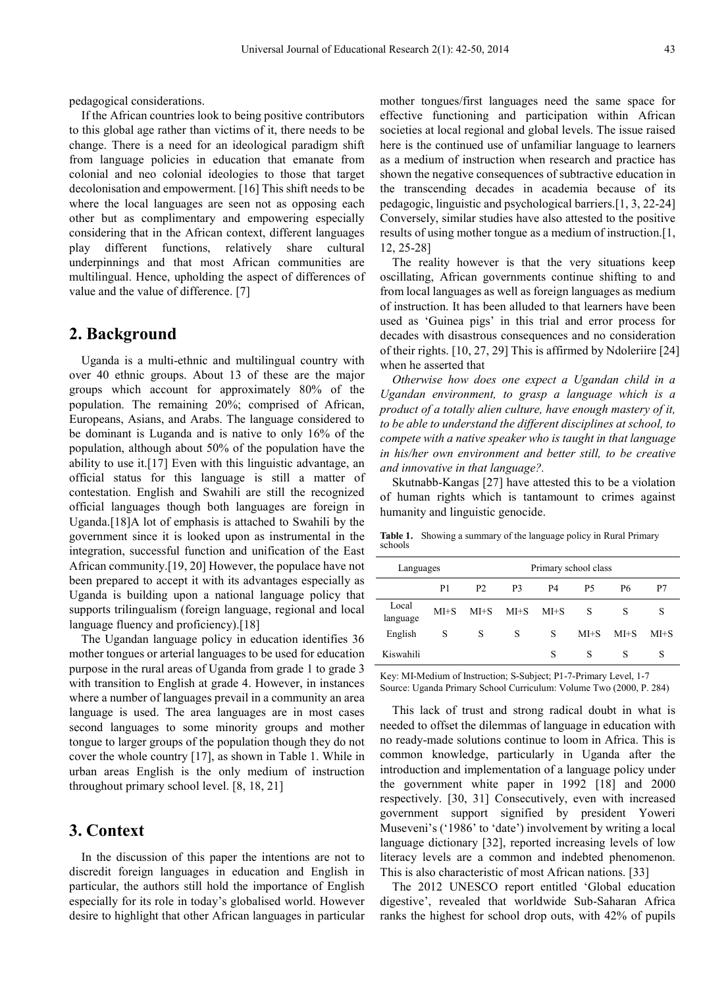pedagogical considerations.

If the African countries look to being positive contributors to this global age rather than victims of it, there needs to be change. There is a need for an ideological paradigm shift from language policies in education that emanate from colonial and neo colonial ideologies to those that target decolonisation and empowerment. [16] This shift needs to be where the local languages are seen not as opposing each other but as complimentary and empowering especially considering that in the African context, different languages play different functions, relatively share cultural underpinnings and that most African communities are multilingual. Hence, upholding the aspect of differences of value and the value of difference. [7]

#### **2. Background**

Uganda is a multi-ethnic and multilingual country with over 40 ethnic groups. About 13 of these are the major groups which account for approximately 80% of the population. The remaining 20%; comprised of African, Europeans, Asians, and Arabs. The language considered to be dominant is Luganda and is native to only 16% of the population, although about 50% of the population have the ability to use it.[17] Even with this linguistic advantage, an official status for this language is still a matter of contestation. English and Swahili are still the recognized official languages though both languages are foreign in Uganda.[18]A lot of emphasis is attached to Swahili by the government since it is looked upon as instrumental in the integration, successful function and unification of the East African community.[19, 20] However, the populace have not been prepared to accept it with its advantages especially as Uganda is building upon a national language policy that supports trilingualism (foreign language, regional and local language fluency and proficiency).[18]

The Ugandan language policy in education identifies 36 mother tongues or arterial languages to be used for education purpose in the rural areas of Uganda from grade 1 to grade 3 with transition to English at grade 4. However, in instances where a number of languages prevail in a community an area language is used. The area languages are in most cases second languages to some minority groups and mother tongue to larger groups of the population though they do not cover the whole country [17], as shown in Table 1. While in urban areas English is the only medium of instruction throughout primary school level. [8, 18, 21]

#### **3. Context**

In the discussion of this paper the intentions are not to discredit foreign languages in education and English in particular, the authors still hold the importance of English especially for its role in today's globalised world. However desire to highlight that other African languages in particular

mother tongues/first languages need the same space for effective functioning and participation within African societies at local regional and global levels. The issue raised here is the continued use of unfamiliar language to learners as a medium of instruction when research and practice has shown the negative consequences of subtractive education in the transcending decades in academia because of its pedagogic, linguistic and psychological barriers.[1, 3, 22-24] Conversely, similar studies have also attested to the positive results of using mother tongue as a medium of instruction.[1, 12, 25-28]

The reality however is that the very situations keep oscillating, African governments continue shifting to and from local languages as well as foreign languages as medium of instruction. It has been alluded to that learners have been used as 'Guinea pigs' in this trial and error process for decades with disastrous consequences and no consideration of their rights. [10, 27, 29] This is affirmed by Ndoleriire [24] when he asserted that

*Otherwise how does one expect a Ugandan child in a Ugandan environment, to grasp a language which is a product of a totally alien culture, have enough mastery of it, to be able to understand the different disciplines at school, to compete with a native speaker who is taught in that language in his/her own environment and better still, to be creative and innovative in that language?.* 

Skutnabb-Kangas [27] have attested this to be a violation of human rights which is tantamount to crimes against humanity and linguistic genocide.

**Table 1.** Showing a summary of the language policy in Rural Primary schools

| Languages         |        |                | Primary school class |                |           |          |          |
|-------------------|--------|----------------|----------------------|----------------|-----------|----------|----------|
|                   | P1     | P <sub>2</sub> | P <sub>3</sub>       | P <sub>4</sub> | <b>P5</b> | P6       | P7       |
| Local<br>language | $MH+S$ | $MI + S$       | $MI + S$             | $MI + S$       | S         | S        | S        |
| English           | S      | S              | S                    | S              | $MI + S$  | $MI + S$ | $MI + S$ |
| Kiswahili         |        |                |                      | S              | S         | S        | S        |

Key: MI-Medium of Instruction; S-Subject; P1-7-Primary Level, 1-7 Source: Uganda Primary School Curriculum: Volume Two (2000, P. 284)

This lack of trust and strong radical doubt in what is needed to offset the dilemmas of language in education with no ready-made solutions continue to loom in Africa. This is common knowledge, particularly in Uganda after the introduction and implementation of a language policy under the government white paper in 1992 [18] and 2000 respectively. [30, 31] Consecutively, even with increased government support signified by president Yoweri Museveni's ('1986' to 'date') involvement by writing a local language dictionary [32], reported increasing levels of low literacy levels are a common and indebted phenomenon. This is also characteristic of most African nations. [33]

The 2012 UNESCO report entitled 'Global education digestive', revealed that worldwide Sub-Saharan Africa ranks the highest for school drop outs, with 42% of pupils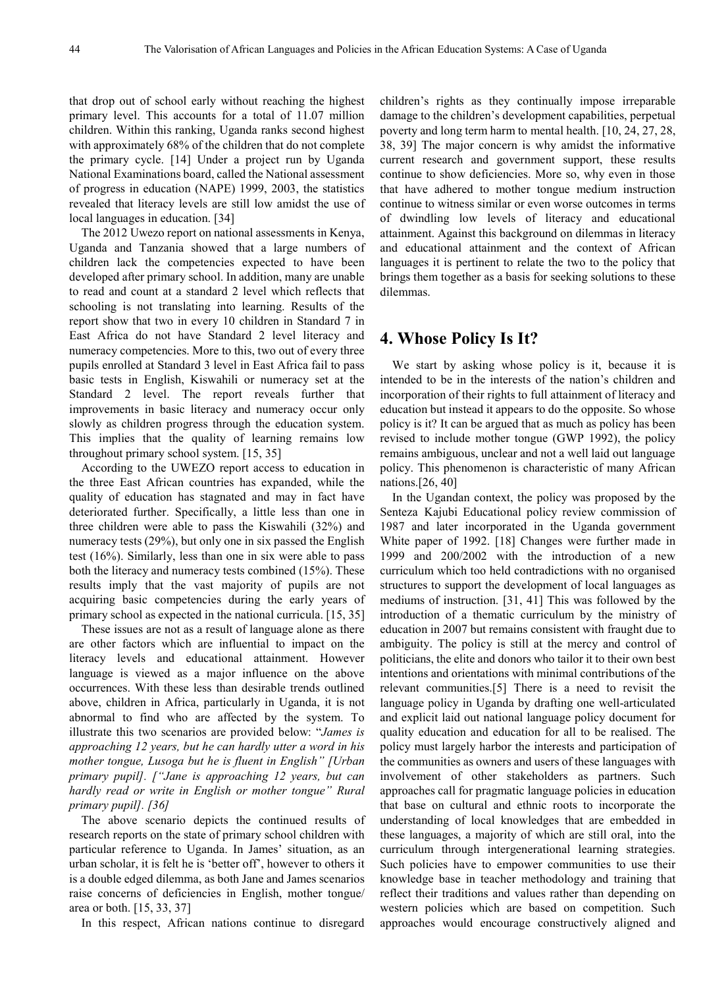that drop out of school early without reaching the highest primary level. This accounts for a total of 11.07 million children. Within this ranking, Uganda ranks second highest with approximately 68% of the children that do not complete the primary cycle. [14] Under a project run by Uganda National Examinations board, called the National assessment of progress in education (NAPE) 1999, 2003, the statistics revealed that literacy levels are still low amidst the use of local languages in education. [34]

The 2012 Uwezo report on national assessments in Kenya, Uganda and Tanzania showed that a large numbers of children lack the competencies expected to have been developed after primary school. In addition, many are unable to read and count at a standard 2 level which reflects that schooling is not translating into learning. Results of the report show that two in every 10 children in Standard 7 in East Africa do not have Standard 2 level literacy and numeracy competencies. More to this, two out of every three pupils enrolled at Standard 3 level in East Africa fail to pass basic tests in English, Kiswahili or numeracy set at the Standard 2 level. The report reveals further that improvements in basic literacy and numeracy occur only slowly as children progress through the education system. This implies that the quality of learning remains low throughout primary school system. [15, 35]

According to the UWEZO report access to education in the three East African countries has expanded, while the quality of education has stagnated and may in fact have deteriorated further. Specifically, a little less than one in three children were able to pass the Kiswahili (32%) and numeracy tests (29%), but only one in six passed the English test (16%). Similarly, less than one in six were able to pass both the literacy and numeracy tests combined (15%). These results imply that the vast majority of pupils are not acquiring basic competencies during the early years of primary school as expected in the national curricula. [15, 35]

These issues are not as a result of language alone as there are other factors which are influential to impact on the literacy levels and educational attainment. However language is viewed as a major influence on the above occurrences. With these less than desirable trends outlined above, children in Africa, particularly in Uganda, it is not abnormal to find who are affected by the system. To illustrate this two scenarios are provided below: "*James is approaching 12 years, but he can hardly utter a word in his mother tongue, Lusoga but he is fluent in English" [Urban primary pupil]. ["Jane is approaching 12 years, but can hardly read or write in English or mother tongue" Rural primary pupil]. [36]*

The above scenario depicts the continued results of research reports on the state of primary school children with particular reference to Uganda. In James' situation, as an urban scholar, it is felt he is 'better off', however to others it is a double edged dilemma, as both Jane and James scenarios raise concerns of deficiencies in English, mother tongue/ area or both. [15, 33, 37]

In this respect, African nations continue to disregard

children's rights as they continually impose irreparable damage to the children's development capabilities, perpetual poverty and long term harm to mental health. [10, 24, 27, 28, 38, 39] The major concern is why amidst the informative current research and government support, these results continue to show deficiencies. More so, why even in those that have adhered to mother tongue medium instruction continue to witness similar or even worse outcomes in terms of dwindling low levels of literacy and educational attainment. Against this background on dilemmas in literacy and educational attainment and the context of African languages it is pertinent to relate the two to the policy that brings them together as a basis for seeking solutions to these dilemmas.

#### **4. Whose Policy Is It?**

We start by asking whose policy is it, because it is intended to be in the interests of the nation's children and incorporation of their rights to full attainment of literacy and education but instead it appears to do the opposite. So whose policy is it? It can be argued that as much as policy has been revised to include mother tongue (GWP 1992), the policy remains ambiguous, unclear and not a well laid out language policy. This phenomenon is characteristic of many African nations.[26, 40]

In the Ugandan context, the policy was proposed by the Senteza Kajubi Educational policy review commission of 1987 and later incorporated in the Uganda government White paper of 1992. [18] Changes were further made in 1999 and 200/2002 with the introduction of a new curriculum which too held contradictions with no organised structures to support the development of local languages as mediums of instruction. [31, 41] This was followed by the introduction of a thematic curriculum by the ministry of education in 2007 but remains consistent with fraught due to ambiguity. The policy is still at the mercy and control of politicians, the elite and donors who tailor it to their own best intentions and orientations with minimal contributions of the relevant communities.[5] There is a need to revisit the language policy in Uganda by drafting one well-articulated and explicit laid out national language policy document for quality education and education for all to be realised. The policy must largely harbor the interests and participation of the communities as owners and users of these languages with involvement of other stakeholders as partners. Such approaches call for pragmatic language policies in education that base on cultural and ethnic roots to incorporate the understanding of local knowledges that are embedded in these languages, a majority of which are still oral, into the curriculum through intergenerational learning strategies. Such policies have to empower communities to use their knowledge base in teacher methodology and training that reflect their traditions and values rather than depending on western policies which are based on competition. Such approaches would encourage constructively aligned and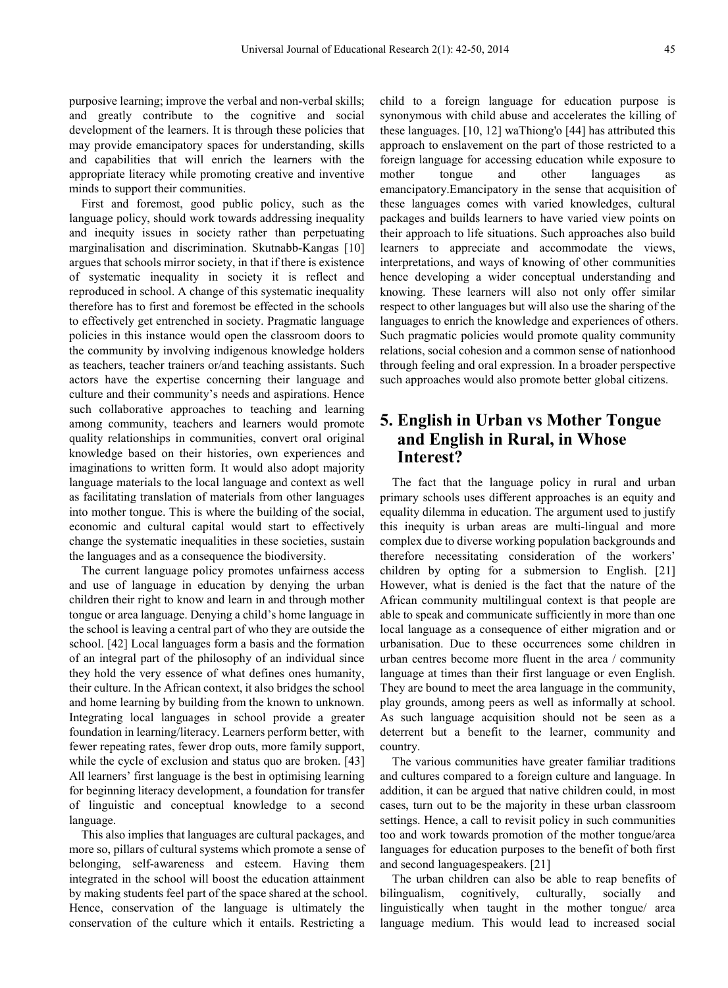purposive learning; improve the verbal and non-verbal skills; and greatly contribute to the cognitive and social development of the learners. It is through these policies that may provide emancipatory spaces for understanding, skills and capabilities that will enrich the learners with the appropriate literacy while promoting creative and inventive minds to support their communities.

First and foremost, good public policy, such as the language policy, should work towards addressing inequality and inequity issues in society rather than perpetuating marginalisation and discrimination. Skutnabb-Kangas [10] argues that schools mirror society, in that if there is existence of systematic inequality in society it is reflect and reproduced in school. A change of this systematic inequality therefore has to first and foremost be effected in the schools to effectively get entrenched in society. Pragmatic language policies in this instance would open the classroom doors to the community by involving indigenous knowledge holders as teachers, teacher trainers or/and teaching assistants. Such actors have the expertise concerning their language and culture and their community's needs and aspirations. Hence such collaborative approaches to teaching and learning among community, teachers and learners would promote quality relationships in communities, convert oral original knowledge based on their histories, own experiences and imaginations to written form. It would also adopt majority language materials to the local language and context as well as facilitating translation of materials from other languages into mother tongue. This is where the building of the social, economic and cultural capital would start to effectively change the systematic inequalities in these societies, sustain the languages and as a consequence the biodiversity.

The current language policy promotes unfairness access and use of language in education by denying the urban children their right to know and learn in and through mother tongue or area language. Denying a child's home language in the school is leaving a central part of who they are outside the school. [42] Local languages form a basis and the formation of an integral part of the philosophy of an individual since they hold the very essence of what defines ones humanity, their culture. In the African context, it also bridges the school and home learning by building from the known to unknown. Integrating local languages in school provide a greater foundation in learning/literacy. Learners perform better, with fewer repeating rates, fewer drop outs, more family support, while the cycle of exclusion and status quo are broken. [43] All learners' first language is the best in optimising learning for beginning literacy development, a foundation for transfer of linguistic and conceptual knowledge to a second language.

This also implies that languages are cultural packages, and more so, pillars of cultural systems which promote a sense of belonging, self-awareness and esteem. Having them integrated in the school will boost the education attainment by making students feel part of the space shared at the school. Hence, conservation of the language is ultimately the conservation of the culture which it entails. Restricting a

child to a foreign language for education purpose is synonymous with child abuse and accelerates the killing of these languages. [10, 12] waThiong'o [44] has attributed this approach to enslavement on the part of those restricted to a foreign language for accessing education while exposure to mother tongue and other languages as emancipatory.Emancipatory in the sense that acquisition of these languages comes with varied knowledges, cultural packages and builds learners to have varied view points on their approach to life situations. Such approaches also build learners to appreciate and accommodate the views, interpretations, and ways of knowing of other communities hence developing a wider conceptual understanding and knowing. These learners will also not only offer similar respect to other languages but will also use the sharing of the languages to enrich the knowledge and experiences of others. Such pragmatic policies would promote quality community relations, social cohesion and a common sense of nationhood through feeling and oral expression. In a broader perspective such approaches would also promote better global citizens.

## **5. English in Urban vs Mother Tongue and English in Rural, in Whose Interest?**

The fact that the language policy in rural and urban primary schools uses different approaches is an equity and equality dilemma in education. The argument used to justify this inequity is urban areas are multi-lingual and more complex due to diverse working population backgrounds and therefore necessitating consideration of the workers' children by opting for a submersion to English. [21] However, what is denied is the fact that the nature of the African community multilingual context is that people are able to speak and communicate sufficiently in more than one local language as a consequence of either migration and or urbanisation. Due to these occurrences some children in urban centres become more fluent in the area / community language at times than their first language or even English. They are bound to meet the area language in the community, play grounds, among peers as well as informally at school. As such language acquisition should not be seen as a deterrent but a benefit to the learner, community and country.

The various communities have greater familiar traditions and cultures compared to a foreign culture and language. In addition, it can be argued that native children could, in most cases, turn out to be the majority in these urban classroom settings. Hence, a call to revisit policy in such communities too and work towards promotion of the mother tongue/area languages for education purposes to the benefit of both first and second languagespeakers. [21]

The urban children can also be able to reap benefits of bilingualism, cognitively, culturally, socially and linguistically when taught in the mother tongue/ area language medium. This would lead to increased social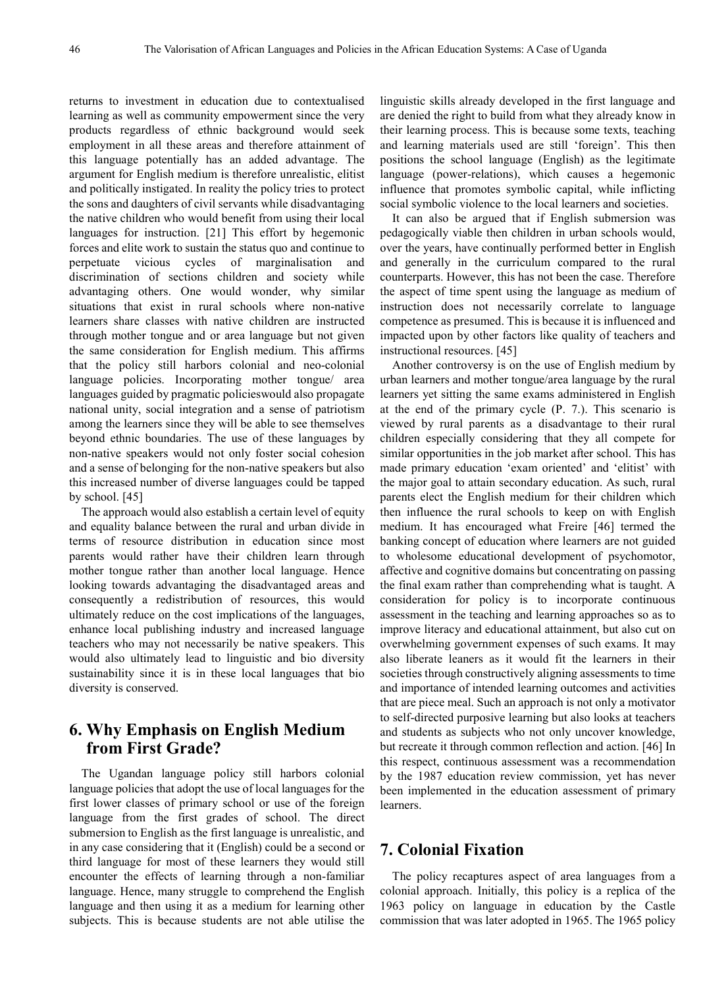returns to investment in education due to contextualised learning as well as community empowerment since the very products regardless of ethnic background would seek employment in all these areas and therefore attainment of this language potentially has an added advantage. The argument for English medium is therefore unrealistic, elitist and politically instigated. In reality the policy tries to protect the sons and daughters of civil servants while disadvantaging the native children who would benefit from using their local languages for instruction. [21] This effort by hegemonic forces and elite work to sustain the status quo and continue to perpetuate vicious cycles of marginalisation and discrimination of sections children and society while advantaging others. One would wonder, why similar situations that exist in rural schools where non-native learners share classes with native children are instructed through mother tongue and or area language but not given the same consideration for English medium. This affirms that the policy still harbors colonial and neo-colonial language policies. Incorporating mother tongue/ area languages guided by pragmatic policieswould also propagate national unity, social integration and a sense of patriotism among the learners since they will be able to see themselves beyond ethnic boundaries. The use of these languages by non-native speakers would not only foster social cohesion and a sense of belonging for the non-native speakers but also this increased number of diverse languages could be tapped by school. [45]

The approach would also establish a certain level of equity and equality balance between the rural and urban divide in terms of resource distribution in education since most parents would rather have their children learn through mother tongue rather than another local language. Hence looking towards advantaging the disadvantaged areas and consequently a redistribution of resources, this would ultimately reduce on the cost implications of the languages, enhance local publishing industry and increased language teachers who may not necessarily be native speakers. This would also ultimately lead to linguistic and bio diversity sustainability since it is in these local languages that bio diversity is conserved.

#### **6. Why Emphasis on English Medium from First Grade?**

The Ugandan language policy still harbors colonial language policies that adopt the use of local languages for the first lower classes of primary school or use of the foreign language from the first grades of school. The direct submersion to English as the first language is unrealistic, and in any case considering that it (English) could be a second or third language for most of these learners they would still encounter the effects of learning through a non-familiar language. Hence, many struggle to comprehend the English language and then using it as a medium for learning other subjects. This is because students are not able utilise the

linguistic skills already developed in the first language and are denied the right to build from what they already know in their learning process. This is because some texts, teaching and learning materials used are still 'foreign'. This then positions the school language (English) as the legitimate language (power-relations), which causes a hegemonic influence that promotes symbolic capital, while inflicting social symbolic violence to the local learners and societies.

It can also be argued that if English submersion was pedagogically viable then children in urban schools would, over the years, have continually performed better in English and generally in the curriculum compared to the rural counterparts. However, this has not been the case. Therefore the aspect of time spent using the language as medium of instruction does not necessarily correlate to language competence as presumed. This is because it is influenced and impacted upon by other factors like quality of teachers and instructional resources. [45]

Another controversy is on the use of English medium by urban learners and mother tongue/area language by the rural learners yet sitting the same exams administered in English at the end of the primary cycle (P. 7.). This scenario is viewed by rural parents as a disadvantage to their rural children especially considering that they all compete for similar opportunities in the job market after school. This has made primary education 'exam oriented' and 'elitist' with the major goal to attain secondary education. As such, rural parents elect the English medium for their children which then influence the rural schools to keep on with English medium. It has encouraged what Freire [46] termed the banking concept of education where learners are not guided to wholesome educational development of psychomotor, affective and cognitive domains but concentrating on passing the final exam rather than comprehending what is taught. A consideration for policy is to incorporate continuous assessment in the teaching and learning approaches so as to improve literacy and educational attainment, but also cut on overwhelming government expenses of such exams. It may also liberate leaners as it would fit the learners in their societies through constructively aligning assessments to time and importance of intended learning outcomes and activities that are piece meal. Such an approach is not only a motivator to self-directed purposive learning but also looks at teachers and students as subjects who not only uncover knowledge, but recreate it through common reflection and action. [46] In this respect, continuous assessment was a recommendation by the 1987 education review commission, yet has never been implemented in the education assessment of primary learners.

#### **7. Colonial Fixation**

The policy recaptures aspect of area languages from a colonial approach. Initially, this policy is a replica of the 1963 policy on language in education by the Castle commission that was later adopted in 1965. The 1965 policy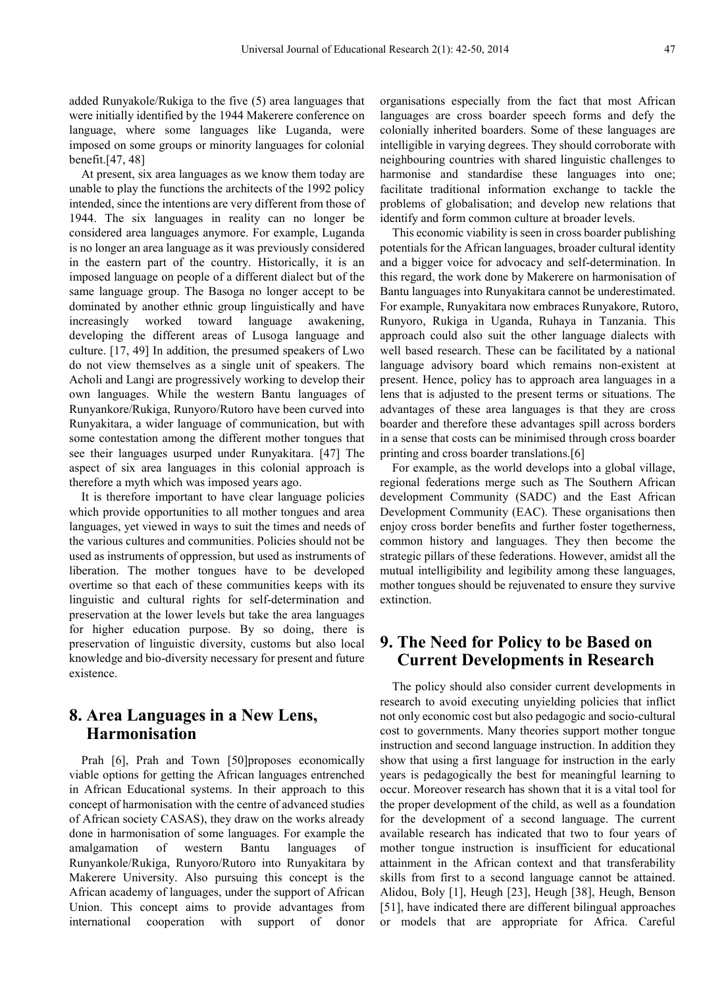added Runyakole/Rukiga to the five (5) area languages that were initially identified by the 1944 Makerere conference on language, where some languages like Luganda, were imposed on some groups or minority languages for colonial benefit.[47, 48]

At present, six area languages as we know them today are unable to play the functions the architects of the 1992 policy intended, since the intentions are very different from those of 1944. The six languages in reality can no longer be considered area languages anymore. For example, Luganda is no longer an area language as it was previously considered in the eastern part of the country. Historically, it is an imposed language on people of a different dialect but of the same language group. The Basoga no longer accept to be dominated by another ethnic group linguistically and have increasingly worked toward language awakening, developing the different areas of Lusoga language and culture. [17, 49] In addition, the presumed speakers of Lwo do not view themselves as a single unit of speakers. The Acholi and Langi are progressively working to develop their own languages. While the western Bantu languages of Runyankore/Rukiga, Runyoro/Rutoro have been curved into Runyakitara, a wider language of communication, but with some contestation among the different mother tongues that see their languages usurped under Runyakitara. [47] The aspect of six area languages in this colonial approach is therefore a myth which was imposed years ago.

It is therefore important to have clear language policies which provide opportunities to all mother tongues and area languages, yet viewed in ways to suit the times and needs of the various cultures and communities. Policies should not be used as instruments of oppression, but used as instruments of liberation. The mother tongues have to be developed overtime so that each of these communities keeps with its linguistic and cultural rights for self-determination and preservation at the lower levels but take the area languages for higher education purpose. By so doing, there is preservation of linguistic diversity, customs but also local knowledge and bio-diversity necessary for present and future existence.

## **8. Area Languages in a New Lens, Harmonisation**

Prah [6], Prah and Town [50] proposes economically viable options for getting the African languages entrenched in African Educational systems. In their approach to this concept of harmonisation with the centre of advanced studies of African society CASAS), they draw on the works already done in harmonisation of some languages. For example the amalgamation of western Bantu languages of Runyankole/Rukiga, Runyoro/Rutoro into Runyakitara by Makerere University. Also pursuing this concept is the African academy of languages, under the support of African Union. This concept aims to provide advantages from international cooperation with support of donor

organisations especially from the fact that most African languages are cross boarder speech forms and defy the colonially inherited boarders. Some of these languages are intelligible in varying degrees. They should corroborate with neighbouring countries with shared linguistic challenges to harmonise and standardise these languages into one; facilitate traditional information exchange to tackle the problems of globalisation; and develop new relations that identify and form common culture at broader levels.

This economic viability is seen in cross boarder publishing potentials for the African languages, broader cultural identity and a bigger voice for advocacy and self-determination. In this regard, the work done by Makerere on harmonisation of Bantu languages into Runyakitara cannot be underestimated. For example, Runyakitara now embraces Runyakore, Rutoro, Runyoro, Rukiga in Uganda, Ruhaya in Tanzania. This approach could also suit the other language dialects with well based research. These can be facilitated by a national language advisory board which remains non-existent at present. Hence, policy has to approach area languages in a lens that is adjusted to the present terms or situations. The advantages of these area languages is that they are cross boarder and therefore these advantages spill across borders in a sense that costs can be minimised through cross boarder printing and cross boarder translations.[6]

For example, as the world develops into a global village, regional federations merge such as The Southern African development Community (SADC) and the East African Development Community (EAC). These organisations then enjoy cross border benefits and further foster togetherness, common history and languages. They then become the strategic pillars of these federations. However, amidst all the mutual intelligibility and legibility among these languages, mother tongues should be rejuvenated to ensure they survive extinction.

# **9. The Need for Policy to be Based on Current Developments in Research**

The policy should also consider current developments in research to avoid executing unyielding policies that inflict not only economic cost but also pedagogic and socio-cultural cost to governments. Many theories support mother tongue instruction and second language instruction. In addition they show that using a first language for instruction in the early years is pedagogically the best for meaningful learning to occur. Moreover research has shown that it is a vital tool for the proper development of the child, as well as a foundation for the development of a second language. The current available research has indicated that two to four years of mother tongue instruction is insufficient for educational attainment in the African context and that transferability skills from first to a second language cannot be attained. Alidou, Boly [1], Heugh [23], Heugh [38], Heugh, Benson [51], have indicated there are different bilingual approaches or models that are appropriate for Africa. Careful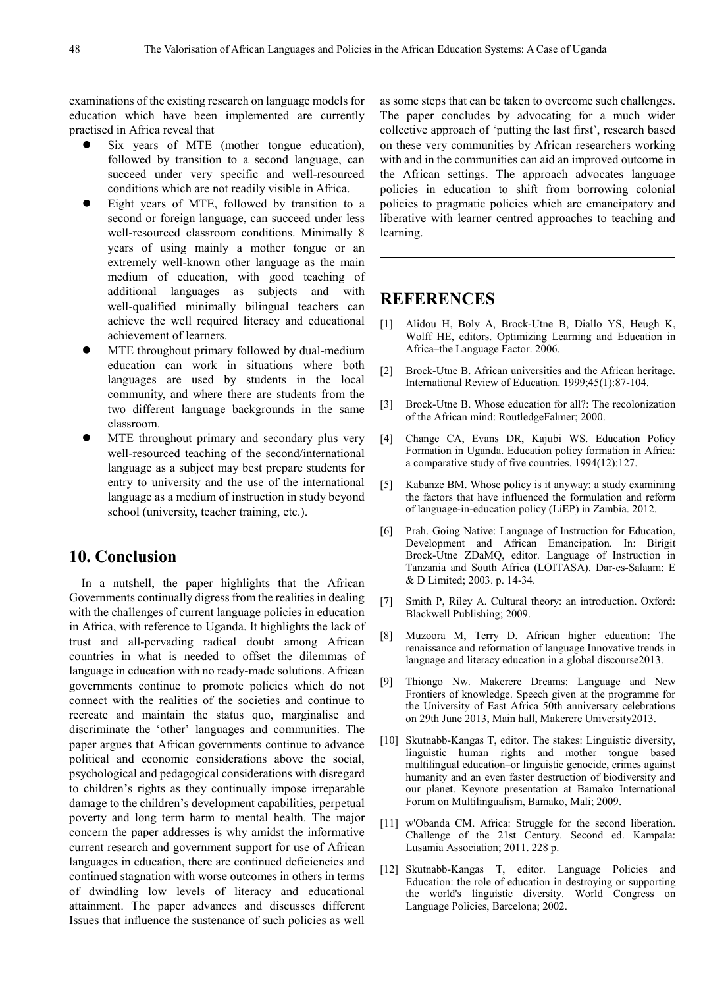examinations of the existing research on language models for education which have been implemented are currently practised in Africa reveal that

- Six years of MTE (mother tongue education), followed by transition to a second language, can succeed under very specific and well-resourced conditions which are not readily visible in Africa.
- Eight years of MTE, followed by transition to a second or foreign language, can succeed under less well-resourced classroom conditions. Minimally 8 years of using mainly a mother tongue or an extremely well-known other language as the main medium of education, with good teaching of additional languages as subjects and with well-qualified minimally bilingual teachers can achieve the well required literacy and educational achievement of learners.
- MTE throughout primary followed by dual-medium education can work in situations where both languages are used by students in the local community, and where there are students from the two different language backgrounds in the same classroom.
- MTE throughout primary and secondary plus very well-resourced teaching of the second/international language as a subject may best prepare students for entry to university and the use of the international language as a medium of instruction in study beyond school (university, teacher training, etc.).

#### **10. Conclusion**

In a nutshell, the paper highlights that the African Governments continually digress from the realities in dealing with the challenges of current language policies in education in Africa, with reference to Uganda. It highlights the lack of trust and all-pervading radical doubt among African countries in what is needed to offset the dilemmas of language in education with no ready-made solutions. African governments continue to promote policies which do not connect with the realities of the societies and continue to recreate and maintain the status quo, marginalise and discriminate the 'other' languages and communities. The paper argues that African governments continue to advance political and economic considerations above the social, psychological and pedagogical considerations with disregard to children's rights as they continually impose irreparable damage to the children's development capabilities, perpetual poverty and long term harm to mental health. The major concern the paper addresses is why amidst the informative current research and government support for use of African languages in education, there are continued deficiencies and continued stagnation with worse outcomes in others in terms of dwindling low levels of literacy and educational attainment. The paper advances and discusses different Issues that influence the sustenance of such policies as well

as some steps that can be taken to overcome such challenges. The paper concludes by advocating for a much wider collective approach of 'putting the last first', research based on these very communities by African researchers working with and in the communities can aid an improved outcome in the African settings. The approach advocates language policies in education to shift from borrowing colonial policies to pragmatic policies which are emancipatory and liberative with learner centred approaches to teaching and learning.

#### **REFERENCES**

- [1] Alidou H, Boly A, Brock-Utne B, Diallo YS, Heugh K, Wolff HE, editors. Optimizing Learning and Education in Africa–the Language Factor. 2006.
- [2] Brock-Utne B. African universities and the African heritage. International Review of Education. 1999;45(1):87-104.
- [3] Brock-Utne B. Whose education for all?: The recolonization of the African mind: RoutledgeFalmer; 2000.
- [4] Change CA, Evans DR, Kajubi WS. Education Policy Formation in Uganda. Education policy formation in Africa: a comparative study of five countries. 1994(12):127.
- [5] Kabanze BM. Whose policy is it anyway: a study examining the factors that have influenced the formulation and reform of language-in-education policy (LiEP) in Zambia. 2012.
- [6] Prah. Going Native: Language of Instruction for Education, Development and African Emancipation. In: Birigit Brock-Utne ZDaMQ, editor. Language of Instruction in Tanzania and South Africa (LOITASA). Dar-es-Salaam: E & D Limited; 2003. p. 14-34.
- [7] Smith P, Riley A. Cultural theory: an introduction. Oxford: Blackwell Publishing; 2009.
- [8] Muzoora M, Terry D. African higher education: The renaissance and reformation of language Innovative trends in language and literacy education in a global discourse2013.
- [9] Thiongo Nw. Makerere Dreams: Language and New Frontiers of knowledge. Speech given at the programme for the University of East Africa 50th anniversary celebrations on 29th June 2013, Main hall, Makerere University2013.
- [10] Skutnabb-Kangas T, editor. The stakes: Linguistic diversity, linguistic human rights and mother tongue based multilingual education–or linguistic genocide, crimes against humanity and an even faster destruction of biodiversity and our planet. Keynote presentation at Bamako International Forum on Multilingualism, Bamako, Mali; 2009.
- [11] w'Obanda CM. Africa: Struggle for the second liberation. Challenge of the 21st Century. Second ed. Kampala: Lusamia Association; 2011. 228 p.
- [12] Skutnabb-Kangas T, editor. Language Policies and Education: the role of education in destroying or supporting the world's linguistic diversity. World Congress on Language Policies, Barcelona; 2002.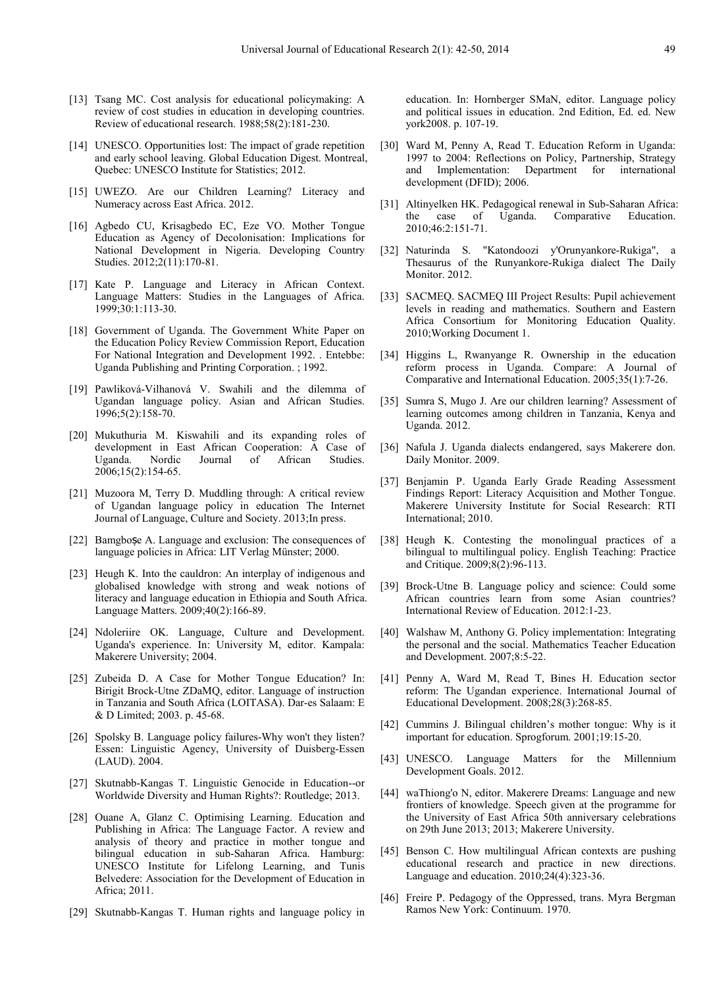- [13] Tsang MC. Cost analysis for educational policymaking: A review of cost studies in education in developing countries. Review of educational research. 1988;58(2):181-230.
- [14] UNESCO. Opportunities lost: The impact of grade repetition and early school leaving. Global Education Digest. Montreal, Quebec: UNESCO Institute for Statistics; 2012.
- [15] UWEZO. Are our Children Learning? Literacy and Numeracy across East Africa. 2012.
- [16] Agbedo CU, Krisagbedo EC, Eze VO. Mother Tongue Education as Agency of Decolonisation: Implications for National Development in Nigeria. Developing Country Studies. 2012;2(11):170-81.
- [17] Kate P. Language and Literacy in African Context. Language Matters: Studies in the Languages of Africa. 1999;30:1:113-30.
- [18] Government of Uganda. The Government White Paper on the Education Policy Review Commission Report, Education For National Integration and Development 1992. . Entebbe: Uganda Publishing and Printing Corporation. ; 1992.
- [19] Pawliková-Vilhanová V. Swahili and the dilemma of Ugandan language policy. Asian and African Studies. 1996;5(2):158-70.
- [20] Mukuthuria M. Kiswahili and its expanding roles of development in East African Cooperation: A Case of Uganda. Nordic Journal of African Studies. 2006;15(2):154-65.
- [21] Muzoora M, Terry D. Muddling through: A critical review of Ugandan language policy in education The Internet Journal of Language, Culture and Society. 2013;In press.
- [22] Bamgbose A. Language and exclusion: The consequences of language policies in Africa: LIT Verlag Münster; 2000.
- [23] Heugh K. Into the cauldron: An interplay of indigenous and globalised knowledge with strong and weak notions of literacy and language education in Ethiopia and South Africa. Language Matters. 2009;40(2):166-89.
- [24] Ndoleriire OK. Language, Culture and Development. Uganda's experience. In: University M, editor. Kampala: Makerere University; 2004.
- [25] Zubeida D. A Case for Mother Tongue Education? In: Birigit Brock-Utne ZDaMQ, editor. Language of instruction in Tanzania and South Africa (LOITASA). Dar-es Salaam: E & D Limited; 2003. p. 45-68.
- [26] Spolsky B. Language policy failures-Why won't they listen? Essen: Linguistic Agency, University of Duisberg-Essen (LAUD). 2004.
- [27] Skutnabb-Kangas T. Linguistic Genocide in Education--or Worldwide Diversity and Human Rights?: Routledge; 2013.
- [28] Ouane A, Glanz C. Optimising Learning. Education and Publishing in Africa: The Language Factor. A review and analysis of theory and practice in mother tongue and bilingual education in sub-Saharan Africa. Hamburg: UNESCO Institute for Lifelong Learning, and Tunis Belvedere: Association for the Development of Education in Africa; 2011.
- [29] Skutnabb-Kangas T. Human rights and language policy in

education. In: Hornberger SMaN, editor. Language policy and political issues in education. 2nd Edition, Ed. ed. New york2008. p. 107-19.

- [30] Ward M, Penny A, Read T. Education Reform in Uganda: 1997 to 2004: Reflections on Policy, Partnership, Strategy and Implementation: Department for international development (DFID); 2006.
- [31] Altinyelken HK. Pedagogical renewal in Sub-Saharan Africa: the case of Uganda. Comparative Education. 2010;46:2:151-71.
- [32] Naturinda S. "Katondoozi y'Orunyankore-Rukiga", a Thesaurus of the Runyankore-Rukiga dialect The Daily Monitor. 2012.
- [33] SACMEQ. SACMEQ III Project Results: Pupil achievement levels in reading and mathematics. Southern and Eastern Africa Consortium for Monitoring Education Quality. 2010;Working Document 1.
- [34] Higgins L, Rwanyange R. Ownership in the education reform process in Uganda. Compare: A Journal of Comparative and International Education. 2005;35(1):7-26.
- [35] Sumra S, Mugo J. Are our children learning? Assessment of learning outcomes among children in Tanzania, Kenya and Uganda. 2012.
- [36] Nafula J. Uganda dialects endangered, says Makerere don. Daily Monitor. 2009.
- [37] Benjamin P. Uganda Early Grade Reading Assessment Findings Report: Literacy Acquisition and Mother Tongue. Makerere University Institute for Social Research: RTI International; 2010.
- [38] Heugh K. Contesting the monolingual practices of a bilingual to multilingual policy. English Teaching: Practice and Critique. 2009;8(2):96-113.
- [39] Brock-Utne B. Language policy and science: Could some African countries learn from some Asian countries? International Review of Education. 2012:1-23.
- [40] Walshaw M, Anthony G. Policy implementation: Integrating the personal and the social. Mathematics Teacher Education and Development. 2007;8:5-22.
- [41] Penny A, Ward M, Read T, Bines H. Education sector reform: The Ugandan experience. International Journal of Educational Development. 2008;28(3):268-85.
- [42] Cummins J. Bilingual children's mother tongue: Why is it important for education. Sprogforum. 2001;19:15-20.
- [43] UNESCO. Language Matters for the Millennium Development Goals. 2012.
- [44] waThiong'o N, editor. Makerere Dreams: Language and new frontiers of knowledge. Speech given at the programme for the University of East Africa 50th anniversary celebrations on 29th June 2013; 2013; Makerere University.
- [45] Benson C. How multilingual African contexts are pushing educational research and practice in new directions. Language and education. 2010;24(4):323-36.
- [46] Freire P. Pedagogy of the Oppressed, trans. Myra Bergman Ramos New York: Continuum. 1970.